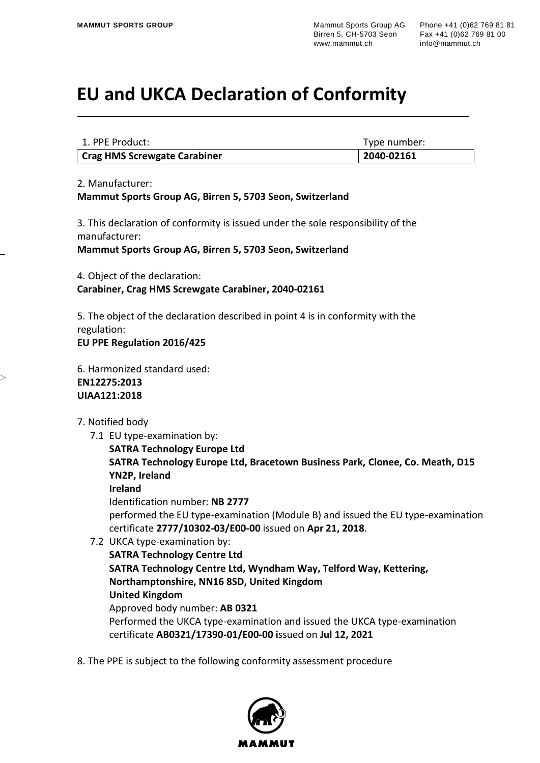## **EU and UKCA Declaration of Conformity**

| 1. PPE Product:              | Type number: |
|------------------------------|--------------|
| Crag HMS Screwgate Carabiner | 2040-02161   |

2. Manufacturer:

**Mammut Sports Group AG, Birren 5, 5703 Seon, Switzerland**

3. This declaration of conformity is issued under the sole responsibility of the manufacturer:

**Mammut Sports Group AG, Birren 5, 5703 Seon, Switzerland**

4. Object of the declaration: **Carabiner, Crag HMS Screwgate Carabiner, 2040-02161**

5. The object of the declaration described in point 4 is in conformity with the regulation: **EU PPE Regulation 2016/425**

6. Harmonized standard used: **EN12275:2013 UIAA121:2018** 

## 7. Notified body

7.1 EU type-examination by:

**SATRA Technology Europe Ltd SATRA Technology Europe Ltd, Bracetown Business Park, Clonee, Co. Meath, D15 YN2P, Ireland**

**Ireland**

Identification number: **NB 2777** performed the EU type-examination (Module B) and issued the EU type-examination certificate **2777/10302-03/E00-00** issued on **Apr 21, 2018**.

- 7.2 UKCA type-examination by:
	- **SATRA Technology Centre Ltd SATRA Technology Centre Ltd, Wyndham Way, Telford Way, Kettering, Northamptonshire, NN16 8SD, United Kingdom United Kingdom** Approved body number: **AB 0321** Performed the UKCA type-examination and issued the UKCA type-examination certificate **AB0321/17390-01/E00-00 i**ssued on **Jul 12, 2021**
- 8. The PPE is subject to the following conformity assessment procedure

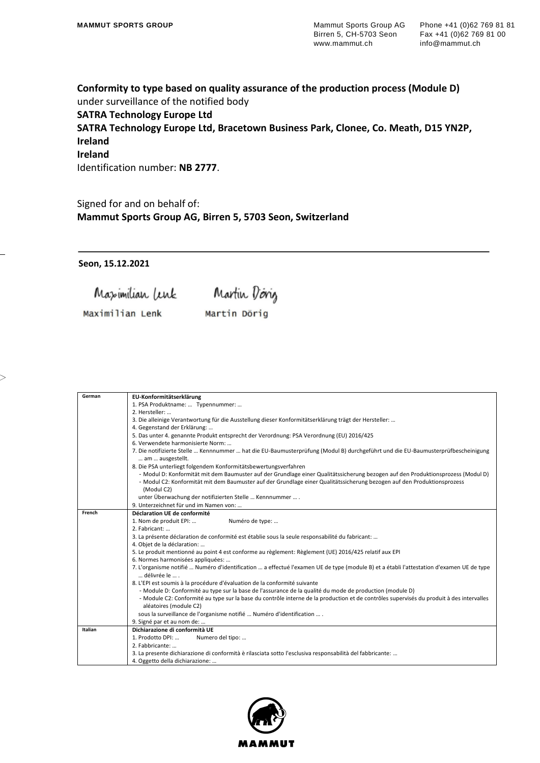**Conformity to type based on quality assurance of the production process (Module D)** under surveillance of the notified body **SATRA Technology Europe Ltd SATRA Technology Europe Ltd, Bracetown Business Park, Clonee, Co. Meath, D15 YN2P, Ireland Ireland** Identification number: **NB 2777**.

Signed for and on behalf of: **Mammut Sports Group AG, Birren 5, 5703 Seon, Switzerland**

**Seon, 15.12.2021**

 $>$ 

Maximilian lenk Martin Doing Maximilian Lenk Martin Dörig

| German  | EU-Konformitätserklärung                                                                                                                                                                                                                             |
|---------|------------------------------------------------------------------------------------------------------------------------------------------------------------------------------------------------------------------------------------------------------|
|         | 1. PSA Produktname:  Typennummer:                                                                                                                                                                                                                    |
|         | 2. Hersteller:                                                                                                                                                                                                                                       |
|         | 3. Die alleinige Verantwortung für die Ausstellung dieser Konformitätserklärung trägt der Hersteller:                                                                                                                                                |
|         | 4. Gegenstand der Erklärung:                                                                                                                                                                                                                         |
|         | 5. Das unter 4. genannte Produkt entsprecht der Verordnung: PSA Verordnung (EU) 2016/425                                                                                                                                                             |
|         | 6. Verwendete harmonisierte Norm:                                                                                                                                                                                                                    |
|         | 7. Die notifizierte Stelle  Kennnummer  hat die EU-Baumusterprüfung (Modul B) durchgeführt und die EU-Baumusterprüfbescheinigung<br>am  ausgestellt.                                                                                                 |
|         | 8. Die PSA unterliegt folgendem Konformitätsbewertungsverfahren                                                                                                                                                                                      |
|         | - Modul D: Konformität mit dem Baumuster auf der Grundlage einer Qualitätssicherung bezogen auf den Produktionsprozess (Modul D)                                                                                                                     |
|         | - Modul C2: Konformität mit dem Baumuster auf der Grundlage einer Qualitätssicherung bezogen auf den Produktionsprozess                                                                                                                              |
|         | (Modul C2)                                                                                                                                                                                                                                           |
|         | unter Überwachung der notifizierten Stelle  Kennnummer  .                                                                                                                                                                                            |
|         | 9. Unterzeichnet für und im Namen von:                                                                                                                                                                                                               |
| French  | Déclaration UE de conformité                                                                                                                                                                                                                         |
|         | 1. Nom de produit EPI:<br>Numéro de type:                                                                                                                                                                                                            |
|         | 2. Fabricant:                                                                                                                                                                                                                                        |
|         | 3. La présente déclaration de conformité est établie sous la seule responsabilité du fabricant:                                                                                                                                                      |
|         | 4. Objet de la déclaration:                                                                                                                                                                                                                          |
|         | 5. Le produit mentionné au point 4 est conforme au règlement: Règlement (UE) 2016/425 relatif aux EPI                                                                                                                                                |
|         | 6. Normes harmonisées appliquées:                                                                                                                                                                                                                    |
|         | 7. L'organisme notifié  Numéro d'identification  a effectué l'examen UE de type (module B) et a établi l'attestation d'examen UE de type                                                                                                             |
|         | délivrée le<br>8. L'EPI est soumis à la procédure d'évaluation de la conformité suivante                                                                                                                                                             |
|         |                                                                                                                                                                                                                                                      |
|         | - Module D: Conformité au type sur la base de l'assurance de la qualité du mode de production (module D)<br>- Module C2: Conformité au type sur la base du contrôle interne de la production et de contrôles supervisés du produit à des intervalles |
|         | aléatoires (module C2)                                                                                                                                                                                                                               |
|         |                                                                                                                                                                                                                                                      |
|         | sous la surveillance de l'organisme notifié  Numéro d'identification  .<br>9. Signé par et au nom de:                                                                                                                                                |
| Italian | Dichiarazione di conformità UE                                                                                                                                                                                                                       |
|         | 1. Prodotto DPI:<br>Numero del tipo:                                                                                                                                                                                                                 |
|         | 2. Fabbricante:                                                                                                                                                                                                                                      |
|         |                                                                                                                                                                                                                                                      |
|         | 3. La presente dichiarazione di conformità è rilasciata sotto l'esclusiva responsabilità del fabbricante:                                                                                                                                            |
|         | 4. Oggetto della dichiarazione:                                                                                                                                                                                                                      |

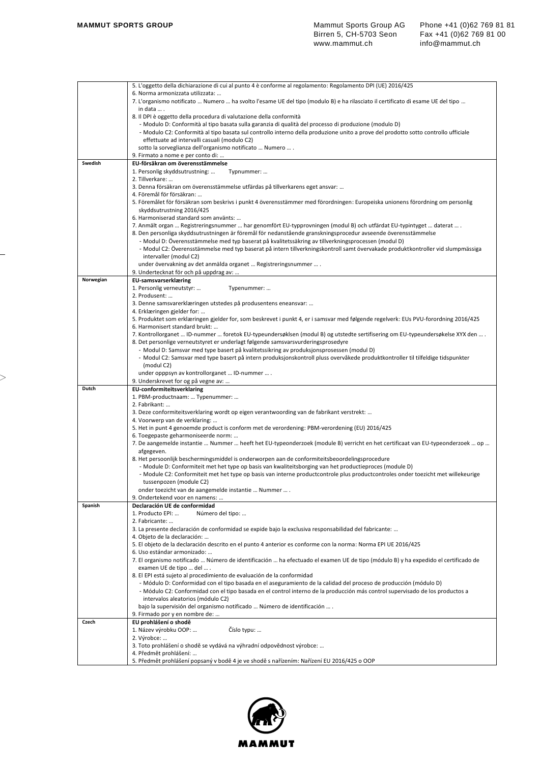|           | 5. L'oggetto della dichiarazione di cui al punto 4 è conforme al regolamento: Regolamento DPI (UE) 2016/425                                                                                                                                  |
|-----------|----------------------------------------------------------------------------------------------------------------------------------------------------------------------------------------------------------------------------------------------|
|           | 6. Norma armonizzata utilizzata:                                                                                                                                                                                                             |
|           | 7. L'organismo notificato  Numero  ha svolto l'esame UE del tipo (modulo B) e ha rilasciato il certificato di esame UE del tipo                                                                                                              |
|           | in data  .<br>8. Il DPI è oggetto della procedura di valutazione della conformità                                                                                                                                                            |
|           | - Modulo D: Conformità al tipo basata sulla garanzia di qualità del processo di produzione (modulo D)                                                                                                                                        |
|           | - Modulo C2: Conformità al tipo basata sul controllo interno della produzione unito a prove del prodotto sotto controllo ufficiale                                                                                                           |
|           | effettuate ad intervalli casuali (modulo C2)                                                                                                                                                                                                 |
|           | sotto la sorveglianza dell'organismo notificato  Numero  .                                                                                                                                                                                   |
|           | 9. Firmato a nome e per conto di:                                                                                                                                                                                                            |
| Swedish   | EU-försäkran om överensstämmelse                                                                                                                                                                                                             |
|           | 1. Personlig skyddsutrustning:<br>Typnummer:<br>2. Tillverkare:                                                                                                                                                                              |
|           | 3. Denna försäkran om överensstämmelse utfärdas på tillverkarens eget ansvar:                                                                                                                                                                |
|           | 4. Föremål för försäkran:                                                                                                                                                                                                                    |
|           | 5. Föremålet för försäkran som beskrivs i punkt 4 överensstämmer med förordningen: Europeiska unionens förordning om personlig                                                                                                               |
|           | skyddsutrustning 2016/425                                                                                                                                                                                                                    |
|           | 6. Harmoniserad standard som använts:                                                                                                                                                                                                        |
|           | 7. Anmält organ  Registreringsnummer  har genomfört EU-typprovningen (modul B) och utfärdat EU-typintyget  daterat  .                                                                                                                        |
|           | 8. Den personliga skyddsutrustningen är föremål för nedanstående granskningsprocedur avseende överensstämmelse<br>- Modul D: Överensstämmelse med typ baserat på kvalitetssäkring av tillverkningsprocessen (modul D)                        |
|           | - Modul C2: Överensstämmelse med typ baserat på intern tillverkningskontroll samt övervakade produktkontroller vid slumpmässiga                                                                                                              |
|           | intervaller (modul C2)                                                                                                                                                                                                                       |
|           | under övervakning av det anmälda organet  Registreringsnummer  .                                                                                                                                                                             |
|           | 9. Undertecknat för och på uppdrag av:                                                                                                                                                                                                       |
| Norwegian | <b>EU-samsvarserklæring</b>                                                                                                                                                                                                                  |
|           | 1. Personlig verneutstyr:<br>Typenummer:                                                                                                                                                                                                     |
|           | 2. Produsent:<br>3. Denne samsvarerklæringen utstedes på produsentens eneansvar:                                                                                                                                                             |
|           | 4. Erklæringen gjelder for:                                                                                                                                                                                                                  |
|           | 5. Produktet som erklæringen gjelder for, som beskrevet i punkt 4, er i samsvar med følgende regelverk: EUs PVU-forordning 2016/425                                                                                                          |
|           | 6. Harmonisert standard brukt:                                                                                                                                                                                                               |
|           | 7. Kontrollorganet  ID-nummer  foretok EU-typeundersøklsen (modul B) og utstedte sertifisering om EU-typeundersøkelse XYX den  .                                                                                                             |
|           | 8. Det personlige verneutstyret er underlagt følgende samsvarsvurderingsprosedyre                                                                                                                                                            |
|           | - Modul D: Samsvar med type basert på kvalitetssikring av produksjonsprosessen (modul D)                                                                                                                                                     |
|           | - Modul C2: Samsvar med type basert på intern produksjonskontroll pluss overvåkede produktkontroller til tilfeldige tidspunkter<br>(modul C2)                                                                                                |
|           | under opppsyn av kontrollorganet  ID-nummer  .                                                                                                                                                                                               |
|           | 9. Underskrevet for og på vegne av:                                                                                                                                                                                                          |
| Dutch     | <b>EU-conformiteitsverklaring</b>                                                                                                                                                                                                            |
|           | 1. PBM-productnaam:  Typenummer:                                                                                                                                                                                                             |
|           | 2. Fabrikant:                                                                                                                                                                                                                                |
|           | 3. Deze conformiteitsverklaring wordt op eigen verantwoording van de fabrikant verstrekt:<br>4. Voorwerp van de verklaring:                                                                                                                  |
|           | 5. Het in punt 4 genoemde product is conform met de verordening: PBM-verordening (EU) 2016/425                                                                                                                                               |
|           | 6. Toegepaste geharmoniseerde norm:                                                                                                                                                                                                          |
|           | 7. De aangemelde instantie  Nummer  heeft het EU-typeonderzoek (module B) verricht en het certificaat van EU-typeonderzoek  op                                                                                                               |
|           | afgegeven.                                                                                                                                                                                                                                   |
|           | 8. Het persoonlijk beschermingsmiddel is onderworpen aan de conformiteitsbeoordelingsprocedure                                                                                                                                               |
|           | - Module D: Conformiteit met het type op basis van kwaliteitsborging van het productieproces (module D)<br>- Module C2: Conformiteit met het type op basis van interne productcontrole plus productcontroles onder toezicht met willekeurige |
|           | tussenpozen (module C2)                                                                                                                                                                                                                      |
|           | onder toezicht van de aangemelde instantie  Nummer  .                                                                                                                                                                                        |
|           | 9. Ondertekend voor en namens:                                                                                                                                                                                                               |
| Spanish   | Declaración UE de conformidad                                                                                                                                                                                                                |
|           | 1. Producto EPI:<br>Número del tipo:<br>2. Fabricante:                                                                                                                                                                                       |
|           | 3. La presente declaración de conformidad se expide bajo la exclusiva responsabilidad del fabricante:                                                                                                                                        |
|           | 4. Objeto de la declaración:                                                                                                                                                                                                                 |
|           | 5. El objeto de la declaración descrito en el punto 4 anterior es conforme con la norma: Norma EPI UE 2016/425                                                                                                                               |
|           | 6. Uso estándar armonizado:                                                                                                                                                                                                                  |
|           | 7. El organismo notificado  Número de identificación  ha efectuado el examen UE de tipo (módulo B) y ha expedido el certificado de                                                                                                           |
|           | examen UE de tipo  del  .                                                                                                                                                                                                                    |
|           | 8. El EPI está sujeto al procedimiento de evaluación de la conformidad<br>- Módulo D: Conformidad con el tipo basada en el aseguramiento de la calidad del proceso de producción (módulo D)                                                  |
|           | - Módulo C2: Conformidad con el tipo basada en el control interno de la producción más control supervisado de los productos a                                                                                                                |
|           | intervalos aleatorios (módulo C2)                                                                                                                                                                                                            |
|           | bajo la supervisión del organismo notificado  Número de identificación  .                                                                                                                                                                    |
|           | 9. Firmado por y en nombre de:                                                                                                                                                                                                               |
| Czech     | EU prohlášení o shodě                                                                                                                                                                                                                        |
|           |                                                                                                                                                                                                                                              |
|           | 1. Název výrobku OOP:<br>Číslo typu:                                                                                                                                                                                                         |
|           | 2. Výrobce:                                                                                                                                                                                                                                  |
|           | 3. Toto prohlášení o shodě se vydává na výhradní odpovědnost výrobce:                                                                                                                                                                        |
|           | 4. Předmět prohlášení:<br>5. Předmět prohlášení popsaný v bodě 4 je ve shodě s nařízením: Nařízení EU 2016/425 o OOP                                                                                                                         |

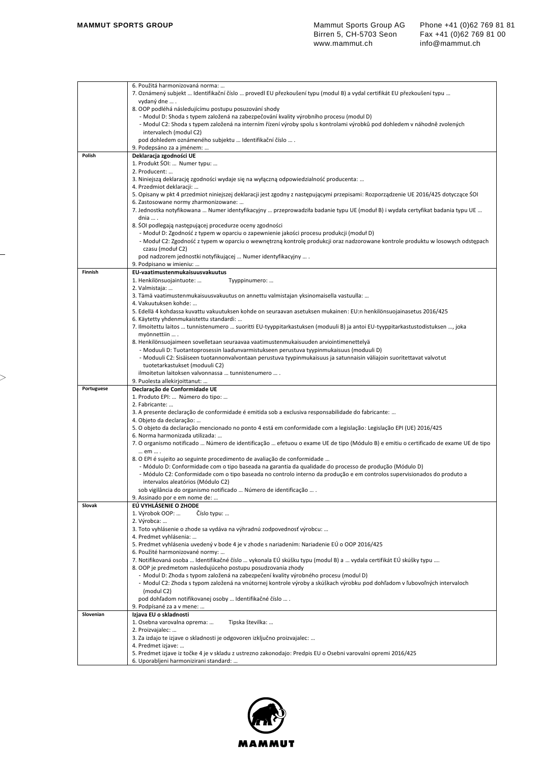|            | 6. Použitá harmonizovaná norma:                                                                                                                                                         |
|------------|-----------------------------------------------------------------------------------------------------------------------------------------------------------------------------------------|
|            | 7. Oznámený subjekt … Identifikační číslo … provedl EU přezkoušení typu (modul B) a vydal certifikát EU přezkoušení typu …                                                              |
|            | vydaný dne  .                                                                                                                                                                           |
|            | 8. OOP podléhá následujícímu postupu posuzování shody                                                                                                                                   |
|            | - Modul D: Shoda s typem založená na zabezpečování kvality výrobního procesu (modul D)                                                                                                  |
|            | - Modul C2: Shoda s typem založená na interním řízení výroby spolu s kontrolami výrobků pod dohledem v náhodně zvolených<br>intervalech (modul C2)                                      |
|            | pod dohledem oznámeného subjektu  Identifikační číslo  .                                                                                                                                |
|            | 9. Podepsáno za a jménem:                                                                                                                                                               |
| Polish     | Deklaracja zgodności UE                                                                                                                                                                 |
|            | 1. Produkt SOI:  Numer typu:                                                                                                                                                            |
|            | 2. Producent:                                                                                                                                                                           |
|            | 3. Niniejszą deklarację zgodności wydaje się na wyłączną odpowiedzialność producenta:                                                                                                   |
|            | 4. Przedmiot deklaracji:                                                                                                                                                                |
|            | 5. Opisany w pkt 4 przedmiot niniejszej deklaracji jest zgodny z następującymi przepisami: Rozporządzenie UE 2016/425 dotyczące ŚOI                                                     |
|            | 6. Zastosowane normy zharmonizowane:                                                                                                                                                    |
|            | 7. Jednostka notyfikowana  Numer identyfikacyjny  przeprowadziła badanie typu UE (moduł B) i wydała certyfikat badania typu UE                                                          |
|            | dnia  .                                                                                                                                                                                 |
|            | 8. SOI podlegają następującej procedurze oceny zgodności                                                                                                                                |
|            | - Moduł D: Zgodność z typem w oparciu o zapewnienie jakości procesu produkcji (moduł D)                                                                                                 |
|            | - Moduł C2: Zgodność z typem w oparciu o wewnętrzną kontrolę produkcji oraz nadzorowane kontrole produktu w losowych odstępach<br>czasu (moduł C2)                                      |
|            | pod nadzorem jednostki notyfikującej  Numer identyfikacyjny  .                                                                                                                          |
|            | 9. Podpisano w imieniu:                                                                                                                                                                 |
| Finnish    | EU-vaatimustenmukaisuusvakuutus                                                                                                                                                         |
|            | 1. Henkilönsuojaintuote:<br>Tyyppinumero:                                                                                                                                               |
|            | 2. Valmistaja:                                                                                                                                                                          |
|            | 3. Tämä vaatimustenmukaisuusvakuutus on annettu valmistajan yksinomaisella vastuulla:                                                                                                   |
|            | 4. Vakuutuksen kohde:                                                                                                                                                                   |
|            | 5. Edellä 4 kohdassa kuvattu vakuutuksen kohde on seuraavan asetuksen mukainen: EU:n henkilönsuojainasetus 2016/425                                                                     |
|            | 6. Käytetty yhdenmukaistettu standardi:                                                                                                                                                 |
|            | 7. Ilmoitettu laitos  tunnistenumero  suoritti EU-tyyppitarkastuksen (moduuli B) ja antoi EU-tyyppitarkastustodistuksen , joka                                                          |
|            | myönnettiin  .                                                                                                                                                                          |
|            | 8. Henkilönsuojaimeen sovelletaan seuraavaa vaatimustenmukaisuuden arviointimenettelyä<br>- Moduuli D: Tuotantoprosessin laadunvarmistukseen perustuva tyypinmukaisuus (moduuli D)      |
|            | - Moduuli C2: Sisäiseen tuotannonvalvontaan perustuva tyypinmukaisuus ja satunnaisin väliajoin suoritettavat valvotut                                                                   |
|            | tuotetarkastukset (moduuli C2)                                                                                                                                                          |
|            | ilmoitetun laitoksen valvonnassa  tunnistenumero  .                                                                                                                                     |
|            | 9. Puolesta allekirjoittanut:                                                                                                                                                           |
| Portuguese | Declaração de Conformidade UE                                                                                                                                                           |
|            | 1. Produto EPI:  Número do tipo:                                                                                                                                                        |
|            | 2. Fabricante:                                                                                                                                                                          |
|            | 3. A presente declaração de conformidade é emitida sob a exclusiva responsabilidade do fabricante:                                                                                      |
|            |                                                                                                                                                                                         |
|            | 4. Objeto da declaração:                                                                                                                                                                |
|            | 5. O objeto da declaração mencionado no ponto 4 está em conformidade com a legislação: Legislação EPI (UE) 2016/425                                                                     |
|            | 6. Norma harmonizada utilizada:                                                                                                                                                         |
|            | 7. O organismo notificado  Número de identificação  efetuou o exame UE de tipo (Módulo B) e emitiu o certificado de exame UE de tipo                                                    |
|            | em  .                                                                                                                                                                                   |
|            | 8. O EPI é sujeito ao seguinte procedimento de avaliação de conformidade                                                                                                                |
|            | - Módulo D: Conformidade com o tipo baseada na garantia da qualidade do processo de produção (Módulo D)                                                                                 |
|            | - Módulo C2: Conformidade com o tipo baseada no controlo interno da produção e em controlos supervisionados do produto a<br>intervalos aleatórios (Módulo C2)                           |
|            | sob vigilância do organismo notificado  Número de identificação  .                                                                                                                      |
|            | 9. Assinado por e em nome de:                                                                                                                                                           |
| Slovak     | EÚ VYHLÁSENIE O ZHODE                                                                                                                                                                   |
|            | 1. Výrobok OOP:<br>Číslo typu:                                                                                                                                                          |
|            | 2. Výrobca:                                                                                                                                                                             |
|            | 3. Toto vyhlásenie o zhode sa vydáva na výhradnú zodpovednosť výrobcu:                                                                                                                  |
|            | 4. Predmet vyhlásenia:                                                                                                                                                                  |
|            | 5. Predmet vyhlásenia uvedený v bode 4 je v zhode s nariadením: Nariadenie EÚ o OOP 2016/425                                                                                            |
|            | 6. Použité harmonizované normy:                                                                                                                                                         |
|            | 7. Notifikovaná osoba … Identifikačné číslo … vykonala EÚ skúšku typu (modul B) a … vydala certifikát EÚ skúšky typu ….<br>8. OOP je predmetom nasledujúceho postupu posudzovania zhody |
|            | - Modul D: Zhoda s typom založená na zabezpečení kvality výrobného procesu (modul D)                                                                                                    |
|            | - Modul C2: Zhoda s typom založená na vnútornej kontrole výroby a skúškach výrobku pod dohľadom v ľubovoľných intervaloch                                                               |
|            | (modul C2)                                                                                                                                                                              |
|            | pod dohľadom notifikovanej osoby  Identifikačné číslo  .                                                                                                                                |
|            | 9. Podpísané za a v mene:                                                                                                                                                               |
| Slovenian  | Izjava EU o skladnosti                                                                                                                                                                  |
|            | 1. Osebna varovalna oprema:<br>Tipska številka:                                                                                                                                         |
|            | 2. Proizvajalec:                                                                                                                                                                        |
|            | 3. Za izdajo te izjave o skladnosti je odgovoren izključno proizvajalec:                                                                                                                |
|            | 4. Predmet izjave:                                                                                                                                                                      |
|            | 5. Predmet izjave iz točke 4 je v skladu z ustrezno zakonodajo: Predpis EU o Osebni varovalni opremi 2016/425<br>6. Uporabljeni harmonizirani standard:                                 |

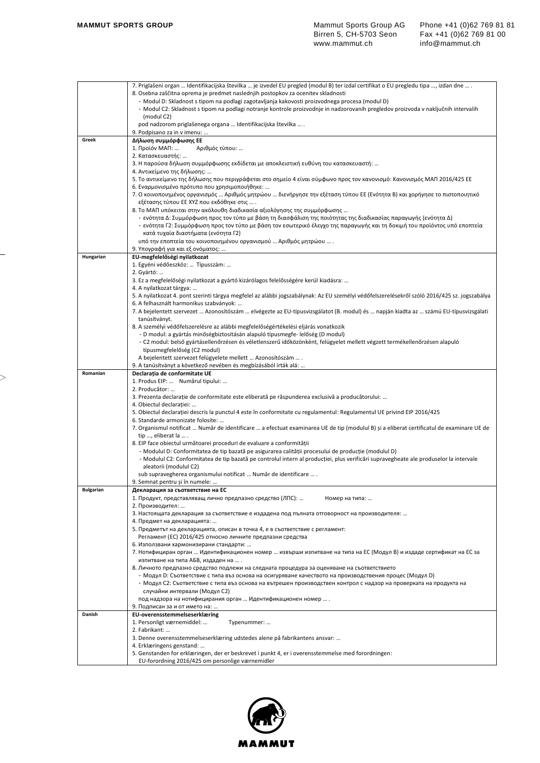|           | 7. Priglašeni organ  Identifikacijska številka  je izvedel EU pregled (modul B) ter izdal certifikat o EU pregledu tipa , izdan dne  .                                                                                      |
|-----------|-----------------------------------------------------------------------------------------------------------------------------------------------------------------------------------------------------------------------------|
|           | 8. Osebna zaščitna oprema je predmet naslednjih postopkov za ocenitev skladnosti<br>- Modul D: Skladnost s tipom na podlagi zagotavljanja kakovosti proizvodnega procesa (modul D)                                          |
|           | - Modul C2: Skladnost s tipom na podlagi notranje kontrole proizvodnje in nadzorovanih pregledov proizvoda v naključnih intervalih                                                                                          |
|           | (modul C2)                                                                                                                                                                                                                  |
|           | pod nadzorom priglašenega organa  Identifikacijska številka  .                                                                                                                                                              |
| Greek     | 9. Podpisano za in v imenu:<br>Δήλωση συμμόρφωσης ΕΕ                                                                                                                                                                        |
|           | Αριθμός τύπου:<br>1. Προϊόν ΜΑΠ:                                                                                                                                                                                            |
|           | 2. Κατασκευαστής:                                                                                                                                                                                                           |
|           | 3. Η παρούσα δήλωση συμμόρφωσης εκδίδεται με αποκλειστική ευθύνη του κατασκευαστή:                                                                                                                                          |
|           | 4. Αντικείμενο της δήλωσης:<br>5. Το αντικείμενο της δήλωσης που περιγράφεται στο σημείο 4 είναι σύμφωνο προς τον κανονισμό: Κανονισμός ΜΑΠ 2016/425 ΕΕ                                                                     |
|           | 6. Εναρμονισμένο πρότυπο που χρησιμοποιήθηκε:                                                                                                                                                                               |
|           | 7. Ο κοινοποιημένος οργανισμός … Αριθμός μητρώου … διενήργησε την εξέταση τύπου ΕΕ (Ενότητα Β) και χορήγησε το πιστοποιητικό                                                                                                |
|           | εξέτασης τύπου ΕΕ ΧΥΖ που εκδόθηκε στις                                                                                                                                                                                     |
|           | 8. Το ΜΑΠ υπόκειται στην ακόλουθη διαδικασία αξιολόγησης της συμμόρφωσης<br>- ενότητα Δ: Συμμόρφωση προς τον τύπο με βάση τη διασφάλιση της ποιότητας της διαδικασίας παραγωγής (ενότητα Δ)                                 |
|           | - ενότητα Γ2: Συμμόρφωση προς τον τύπο με βάση τον εσωτερικό έλεγχο της παραγωγής και τη δοκιμή του προϊόντος υπό εποπτεία                                                                                                  |
|           | κατά τυχαία διαστήματα (ενότητα Γ2)                                                                                                                                                                                         |
|           | υπό την εποπτεία του κοινοποιημένου οργανισμού  Αριθμός μητρώου  .                                                                                                                                                          |
| Hungarian | 9. Υπογραφή για και εξ ονόματος:<br>EU-megfelelőségi nyilatkozat                                                                                                                                                            |
|           | 1. Egyéni védőeszköz:  Típusszám:                                                                                                                                                                                           |
|           | 2. Gyártó:                                                                                                                                                                                                                  |
|           | 3. Ez a megfelelőségi nyilatkozat a gyártó kizárólagos felelősségére kerül kiadásra:                                                                                                                                        |
|           | 4. A nyilatkozat tárgya:<br>5. A nyilatkozat 4. pont szerinti tárgya megfelel az alábbi jogszabálynak: Az EU személyi védőfelszerelésekről szóló 2016/425 sz. jogszabálya                                                   |
|           | 6. A felhasznált harmonikus szabványok:                                                                                                                                                                                     |
|           | 7. A bejelentett szervezet  Azonosítószám  elvégezte az EU-típusvizsgálatot (B. modul) és  napján kiadta az  számú EU-típusvizsgálati                                                                                       |
|           | tanúsítványt.<br>8. A személyi védőfelszerelésre az alábbi megfelelőségértékelési eljárás vonatkozik                                                                                                                        |
|           | - D modul: a gyártás minőségbiztosításán alapuló típusmegfe- lelőség (D modul)                                                                                                                                              |
|           | - C2 modul: belső gyártásellenőrzésen és véletlenszerű időközönként, felügyelet mellett végzett termékellenőrzésen alapuló                                                                                                  |
|           | típusmegfelelőség (C2 modul)                                                                                                                                                                                                |
|           | A bejelentett szervezet felügyelete mellett  Azonosítószám  .<br>9. A tanúsítványt a következő nevében és megbízásából írták alá:                                                                                           |
| Romanian  | Declarația de conformitate UE                                                                                                                                                                                               |
|           | 1. Produs EIP:  Numărul tipului:                                                                                                                                                                                            |
|           | 2. Producător:                                                                                                                                                                                                              |
|           | 3. Prezenta declarație de conformitate este eliberată pe răspunderea exclusivă a producătorului:<br>4. Obiectul declarației:                                                                                                |
|           | 5. Obiectul declarației descris la punctul 4 este în conformitate cu regulamentul: Regulamentul UE privind EIP 2016/425                                                                                                     |
|           | 6. Standarde armonizate folosite:                                                                                                                                                                                           |
|           | 7. Organismul notificat  Număr de identificare  a efectuat examinarea UE de tip (modulul B) și a eliberat certificatul de examinare UE de                                                                                   |
|           | tip , eliberat la  .<br>8. EIP face obiectul următoarei proceduri de evaluare a conformității                                                                                                                               |
|           | - Modulul D: Conformitatea de tip bazată pe asigurarea calității procesului de producție (modulul D)                                                                                                                        |
|           | - Modulul C2: Conformitatea de tip bazată pe controlul intern al producției, plus verificări supravegheate ale produselor la intervale                                                                                      |
|           | aleatorii (modulul C2)<br>sub supravegherea organismului notificat  Număr de identificare  .                                                                                                                                |
|           | 9. Semnat pentru și în numele:                                                                                                                                                                                              |
| Bulgarian | Декларация за съответствие на ЕС                                                                                                                                                                                            |
|           | 1. Продукт, представляващ лично предпазно средство (ЛПС):<br>Номер на типа:                                                                                                                                                 |
|           | 2. Производител:<br>3. Настоящата декларация за съответствие е издадена под пълната отговорност на производителя:                                                                                                           |
|           | 4. Предмет на декларацията:                                                                                                                                                                                                 |
|           | 5. Предметът на декларацията, описан в точка 4, е в съответствие с регламент:                                                                                                                                               |
|           | Регламент (ЕС) 2016/425 относно личните предпазни средства<br>6. Използвани хармонизирани стандарти:                                                                                                                        |
|           | 7. Нотифициран орган  Идентификационен номер  извърши изпитване на типа на ЕС (Модул В) и издаде сертификат на ЕС за                                                                                                        |
|           | изпитване на типа АБВ, издаден на  .                                                                                                                                                                                        |
|           | 8. Личното предпазно средство подлежи на следната процедура за оценяване на съответствието                                                                                                                                  |
|           | Модул D: Съответствие с типа въз основа на осигуряване качеството на производствения процес (Модул D)<br>- Модул С2: Съответствие с типа въз основа на вътрешен производствен контрол с надзор на проверката на продукта на |
|           | случайни интервали (Модул С2)                                                                                                                                                                                               |
|           | под надзора на нотифицирания орган  Идентификационен номер  .                                                                                                                                                               |
|           | 9. Подписан за и от името на:                                                                                                                                                                                               |
| Danish    | EU-overensstemmelseserklæring<br>1. Personligt værnemiddel:<br>Typenummer:                                                                                                                                                  |
|           | 2. Fabrikant:                                                                                                                                                                                                               |
|           | 3. Denne overensstemmelseserklæring udstedes alene på fabrikantens ansvar:                                                                                                                                                  |
|           | 4. Erklæringens genstand:                                                                                                                                                                                                   |
|           | 5. Genstanden for erklæringen, der er beskrevet i punkt 4, er i overensstemmelse med forordningen:<br>EU-forordning 2016/425 om personlige værnemidler                                                                      |
|           |                                                                                                                                                                                                                             |